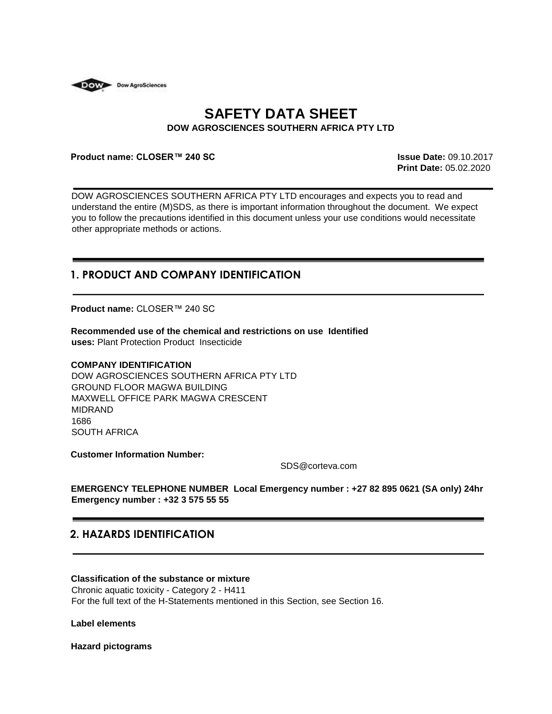

# **SAFETY DATA SHEET DOW AGROSCIENCES SOUTHERN AFRICA PTY LTD**

#### **Product name: CLOSER™ 240 SC Issue Date:** 09.10.2017

**Print Date:** 05.02.2020

DOW AGROSCIENCES SOUTHERN AFRICA PTY LTD encourages and expects you to read and understand the entire (M)SDS, as there is important information throughout the document. We expect you to follow the precautions identified in this document unless your use conditions would necessitate other appropriate methods or actions.

# **1. PRODUCT AND COMPANY IDENTIFICATION**

**Product name:** CLOSER™ 240 SC

**Recommended use of the chemical and restrictions on use Identified uses:** Plant Protection Product Insecticide

#### **COMPANY IDENTIFICATION**

DOW AGROSCIENCES SOUTHERN AFRICA PTY LTD GROUND FLOOR MAGWA BUILDING MAXWELL OFFICE PARK MAGWA CRESCENT MIDRAND 1686 SOUTH AFRICA

**Customer Information Number:** 

SDS@corteva.com

**EMERGENCY TELEPHONE NUMBER Local Emergency number : +27 82 895 0621 (SA only) 24hr Emergency number : +32 3 575 55 55** 

# **2. HAZARDS IDENTIFICATION**

## **Classification of the substance or mixture**

Chronic aquatic toxicity - Category 2 - H411 For the full text of the H-Statements mentioned in this Section, see Section 16.

**Label elements**

**Hazard pictograms**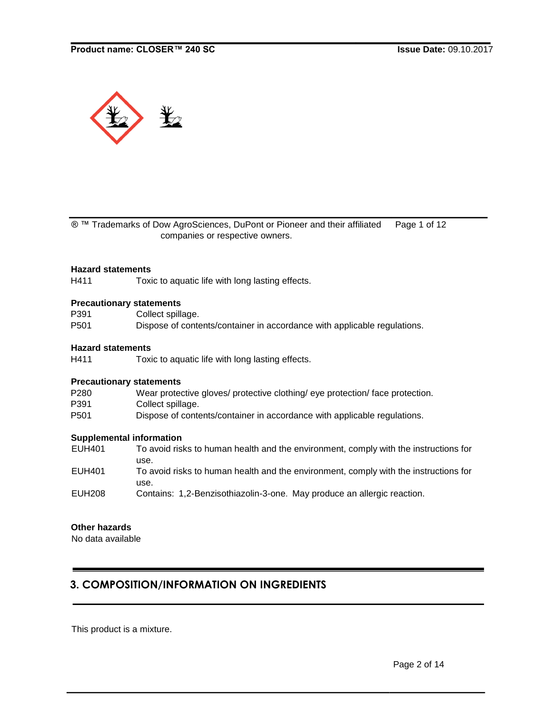

® ™ Trademarks of Dow AgroSciences, DuPont or Pioneer and their affiliated Page 1 of 12 companies or respective owners.

#### **Hazard statements**

H411 Toxic to aquatic life with long lasting effects.

#### **Precautionary statements**

| P391 | Collect spillage.                                                        |
|------|--------------------------------------------------------------------------|
| P501 | Dispose of contents/container in accordance with applicable regulations. |

## **Hazard statements**

H411 Toxic to aquatic life with long lasting effects.

#### **Precautionary statements**

P280 Wear protective gloves/ protective clothing/ eye protection/ face protection.

P391 Collect spillage.

P501 Dispose of contents/container in accordance with applicable regulations.

#### **Supplemental information**

EUH401 To avoid risks to human health and the environment, comply with the instructions for use. EUH401 To avoid risks to human health and the environment, comply with the instructions for use. EUH208 Contains: 1,2-Benzisothiazolin-3-one. May produce an allergic reaction.

# **Other hazards**

No data available

# **3. COMPOSITION/INFORMATION ON INGREDIENTS**

This product is a mixture.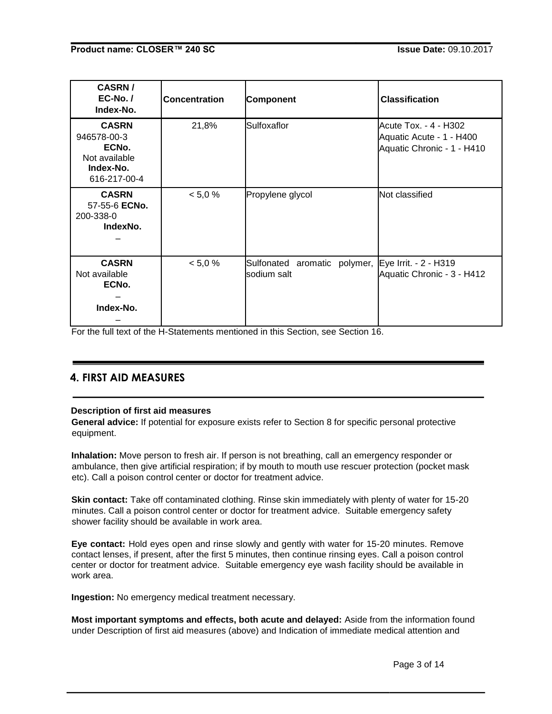| <b>CASRN/</b><br>$EC-No.$ /<br>Index-No.                                           | <b>Concentration</b> | <b>Component</b>                            | <b>Classification</b>                                                           |
|------------------------------------------------------------------------------------|----------------------|---------------------------------------------|---------------------------------------------------------------------------------|
| <b>CASRN</b><br>946578-00-3<br>ECNo.<br>Not available<br>Index-No.<br>616-217-00-4 | 21,8%                | Sulfoxaflor                                 | Acute Tox. - 4 - H302<br>Aquatic Acute - 1 - H400<br>Aquatic Chronic - 1 - H410 |
| <b>CASRN</b><br>57-55-6 ECNo.<br>200-338-0<br>IndexNo.                             | < 5.0 %              | Propylene glycol                            | Not classified                                                                  |
| <b>CASRN</b><br>Not available<br>ECNo.<br>Index-No.                                | < 5.0 %              | Sulfonated aromatic polymer,<br>sodium salt | Eye Irrit. - 2 - H319<br>Aquatic Chronic - 3 - H412                             |

For the full text of the H-Statements mentioned in this Section, see Section 16.

# **4. FIRST AID MEASURES**

# **Description of first aid measures**

**General advice:** If potential for exposure exists refer to Section 8 for specific personal protective equipment.

**Inhalation:** Move person to fresh air. If person is not breathing, call an emergency responder or ambulance, then give artificial respiration; if by mouth to mouth use rescuer protection (pocket mask etc). Call a poison control center or doctor for treatment advice.

**Skin contact:** Take off contaminated clothing. Rinse skin immediately with plenty of water for 15-20 minutes. Call a poison control center or doctor for treatment advice. Suitable emergency safety shower facility should be available in work area.

**Eye contact:** Hold eyes open and rinse slowly and gently with water for 15-20 minutes. Remove contact lenses, if present, after the first 5 minutes, then continue rinsing eyes. Call a poison control center or doctor for treatment advice. Suitable emergency eye wash facility should be available in work area.

**Ingestion:** No emergency medical treatment necessary.

**Most important symptoms and effects, both acute and delayed:** Aside from the information found under Description of first aid measures (above) and Indication of immediate medical attention and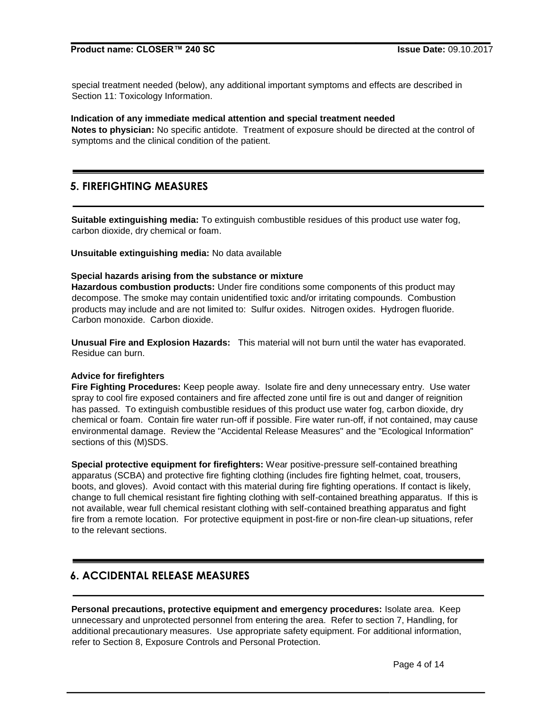special treatment needed (below), any additional important symptoms and effects are described in Section 11: Toxicology Information.

#### **Indication of any immediate medical attention and special treatment needed**

**Notes to physician:** No specific antidote. Treatment of exposure should be directed at the control of symptoms and the clinical condition of the patient.

# **5. FIREFIGHTING MEASURES**

**Suitable extinguishing media:** To extinguish combustible residues of this product use water fog, carbon dioxide, dry chemical or foam.

**Unsuitable extinguishing media:** No data available

#### **Special hazards arising from the substance or mixture**

**Hazardous combustion products:** Under fire conditions some components of this product may decompose. The smoke may contain unidentified toxic and/or irritating compounds. Combustion products may include and are not limited to: Sulfur oxides. Nitrogen oxides. Hydrogen fluoride. Carbon monoxide. Carbon dioxide.

**Unusual Fire and Explosion Hazards:** This material will not burn until the water has evaporated. Residue can burn.

#### **Advice for firefighters**

**Fire Fighting Procedures:** Keep people away. Isolate fire and deny unnecessary entry. Use water spray to cool fire exposed containers and fire affected zone until fire is out and danger of reignition has passed. To extinguish combustible residues of this product use water fog, carbon dioxide, dry chemical or foam. Contain fire water run-off if possible. Fire water run-off, if not contained, may cause environmental damage. Review the "Accidental Release Measures" and the "Ecological Information" sections of this (M)SDS.

**Special protective equipment for firefighters:** Wear positive-pressure self-contained breathing apparatus (SCBA) and protective fire fighting clothing (includes fire fighting helmet, coat, trousers, boots, and gloves). Avoid contact with this material during fire fighting operations. If contact is likely, change to full chemical resistant fire fighting clothing with self-contained breathing apparatus. If this is not available, wear full chemical resistant clothing with self-contained breathing apparatus and fight fire from a remote location. For protective equipment in post-fire or non-fire clean-up situations, refer to the relevant sections.

# **6. ACCIDENTAL RELEASE MEASURES**

**Personal precautions, protective equipment and emergency procedures:** Isolate area. Keep unnecessary and unprotected personnel from entering the area. Refer to section 7, Handling, for additional precautionary measures. Use appropriate safety equipment. For additional information, refer to Section 8, Exposure Controls and Personal Protection.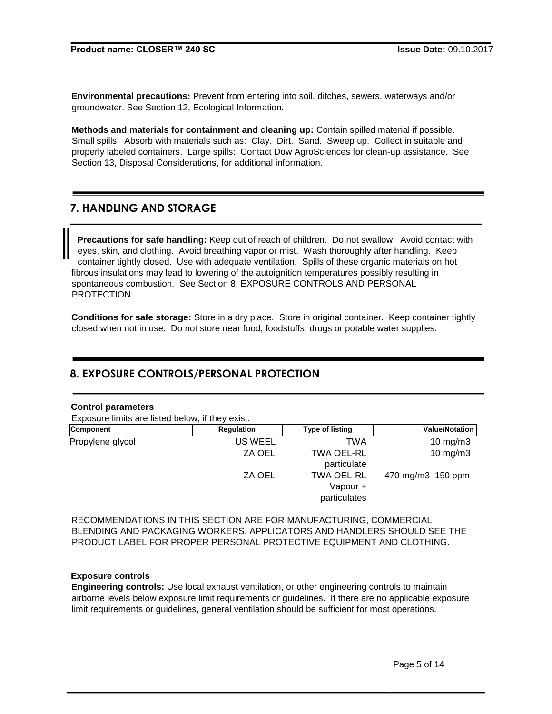**Environmental precautions:** Prevent from entering into soil, ditches, sewers, waterways and/or groundwater. See Section 12, Ecological Information.

**Methods and materials for containment and cleaning up:** Contain spilled material if possible. Small spills: Absorb with materials such as: Clay. Dirt. Sand. Sweep up. Collect in suitable and properly labeled containers. Large spills: Contact Dow AgroSciences for clean-up assistance. See Section 13, Disposal Considerations, for additional information.

# **7. HANDLING AND STORAGE**

**Precautions for safe handling:** Keep out of reach of children. Do not swallow. Avoid contact with eyes, skin, and clothing. Avoid breathing vapor or mist. Wash thoroughly after handling. Keep container tightly closed. Use with adequate ventilation. Spills of these organic materials on hot fibrous insulations may lead to lowering of the autoignition temperatures possibly resulting in spontaneous combustion. See Section 8, EXPOSURE CONTROLS AND PERSONAL PROTECTION.

**Conditions for safe storage:** Store in a dry place. Store in original container. Keep container tightly closed when not in use. Do not store near food, foodstuffs, drugs or potable water supplies.

# **8. EXPOSURE CONTROLS/PERSONAL PROTECTION**

## **Control parameters**

Exposure limits are listed below, if they exist.

| Component        | Regulation | <b>Type of listing</b> | <b>Value/Notation</b> |
|------------------|------------|------------------------|-----------------------|
| Propylene glycol | US WEEL    | TWA                    | 10 mg/m $3$           |
|                  | ZA OEL     | TWA OEL-RL             | $10$ mg/m $3$         |
|                  |            | particulate            |                       |
|                  | ZA OEL     | TWA OEL-RL             | 470 mg/m3 150 ppm     |
|                  |            | Vapour +               |                       |
|                  |            | particulates           |                       |

RECOMMENDATIONS IN THIS SECTION ARE FOR MANUFACTURING, COMMERCIAL BLENDING AND PACKAGING WORKERS. APPLICATORS AND HANDLERS SHOULD SEE THE PRODUCT LABEL FOR PROPER PERSONAL PROTECTIVE EQUIPMENT AND CLOTHING.

## **Exposure controls**

**Engineering controls:** Use local exhaust ventilation, or other engineering controls to maintain airborne levels below exposure limit requirements or guidelines. If there are no applicable exposure limit requirements or guidelines, general ventilation should be sufficient for most operations.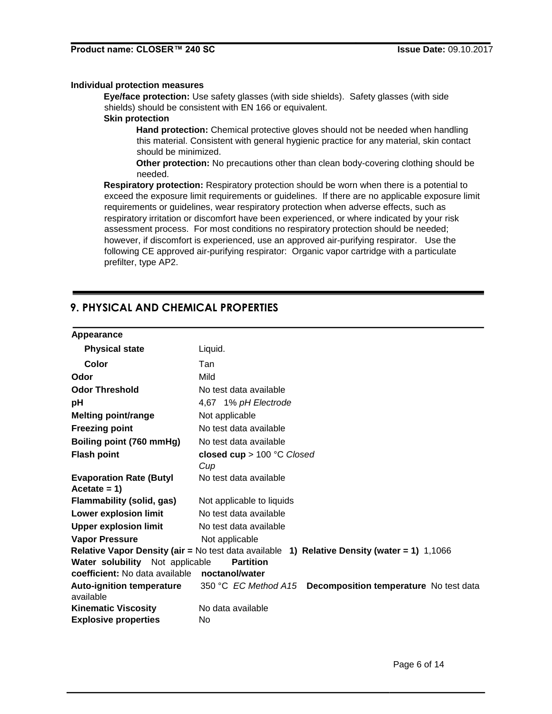### **Individual protection measures**

**Eye/face protection:** Use safety glasses (with side shields). Safety glasses (with side shields) should be consistent with EN 166 or equivalent.

# **Skin protection**

**Hand protection:** Chemical protective gloves should not be needed when handling this material. Consistent with general hygienic practice for any material, skin contact should be minimized.

**Other protection:** No precautions other than clean body-covering clothing should be needed.

**Respiratory protection:** Respiratory protection should be worn when there is a potential to exceed the exposure limit requirements or guidelines. If there are no applicable exposure limit requirements or guidelines, wear respiratory protection when adverse effects, such as respiratory irritation or discomfort have been experienced, or where indicated by your risk assessment process. For most conditions no respiratory protection should be needed; however, if discomfort is experienced, use an approved air-purifying respirator. Use the following CE approved air-purifying respirator: Organic vapor cartridge with a particulate prefilter, type AP2.

# **9. PHYSICAL AND CHEMICAL PROPERTIES**

#### **Appearance**

| <b>Physical state</b>                            | Liquid.                                                                                       |
|--------------------------------------------------|-----------------------------------------------------------------------------------------------|
| Color                                            | Tan                                                                                           |
| Odor                                             | Mild                                                                                          |
| <b>Odor Threshold</b>                            | No test data available                                                                        |
| pH                                               | 4,67 1% pH Electrode                                                                          |
| <b>Melting point/range</b>                       | Not applicable                                                                                |
| <b>Freezing point</b>                            | No test data available                                                                        |
| Boiling point (760 mmHg)                         | No test data available                                                                        |
| <b>Flash point</b>                               | closed cup > 100 °C Closed<br>Cup                                                             |
| <b>Evaporation Rate (Butyl</b><br>Acetate = $1)$ | No test data available                                                                        |
| <b>Flammability (solid, gas)</b>                 | Not applicable to liquids                                                                     |
| <b>Lower explosion limit</b>                     | No test data available                                                                        |
| <b>Upper explosion limit</b>                     | No test data available                                                                        |
| <b>Vapor Pressure</b>                            | Not applicable                                                                                |
|                                                  | Relative Vapor Density (air = No test data available 1) Relative Density (water = 1) $1,1066$ |
| Water solubility Not applicable                  | <b>Partition</b>                                                                              |
| coefficient: No data available                   | noctanol/water                                                                                |
| <b>Auto-ignition temperature</b><br>available    | Decomposition temperature No test data<br>350 °C EC Method A15                                |
| <b>Kinematic Viscosity</b>                       | No data available                                                                             |
| <b>Explosive properties</b>                      | No                                                                                            |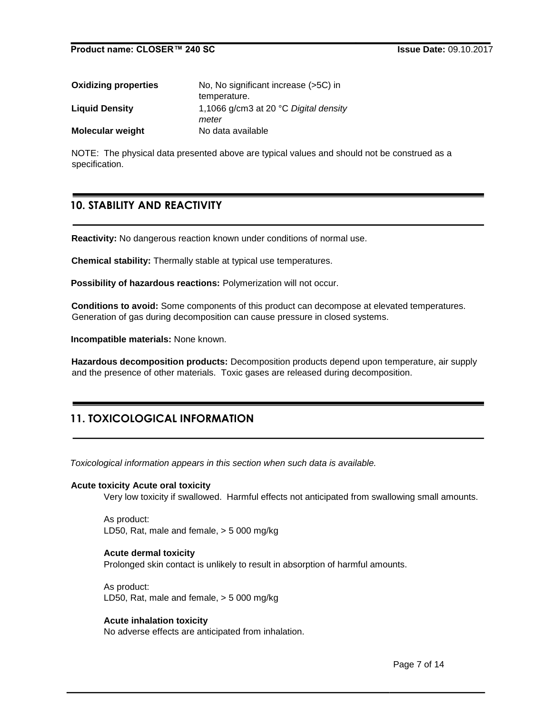| <b>Oxidizing properties</b> | No, No significant increase (>5C) in                    |
|-----------------------------|---------------------------------------------------------|
|                             | temperature.                                            |
| <b>Liquid Density</b>       | 1,1066 g/cm3 at 20 $\degree$ C Digital density<br>meter |
| <b>Molecular weight</b>     | No data available                                       |

NOTE: The physical data presented above are typical values and should not be construed as a specification.

# **10. STABILITY AND REACTIVITY**

**Reactivity:** No dangerous reaction known under conditions of normal use.

**Chemical stability:** Thermally stable at typical use temperatures.

**Possibility of hazardous reactions:** Polymerization will not occur.

**Conditions to avoid:** Some components of this product can decompose at elevated temperatures. Generation of gas during decomposition can cause pressure in closed systems.

**Incompatible materials:** None known.

**Hazardous decomposition products:** Decomposition products depend upon temperature, air supply and the presence of other materials. Toxic gases are released during decomposition.

# **11. TOXICOLOGICAL INFORMATION**

*Toxicological information appears in this section when such data is available.*

#### **Acute toxicity Acute oral toxicity**

Very low toxicity if swallowed. Harmful effects not anticipated from swallowing small amounts.

As product: LD50, Rat, male and female, > 5 000 mg/kg

#### **Acute dermal toxicity**

Prolonged skin contact is unlikely to result in absorption of harmful amounts.

As product: LD50, Rat, male and female, > 5 000 mg/kg

## **Acute inhalation toxicity**

No adverse effects are anticipated from inhalation.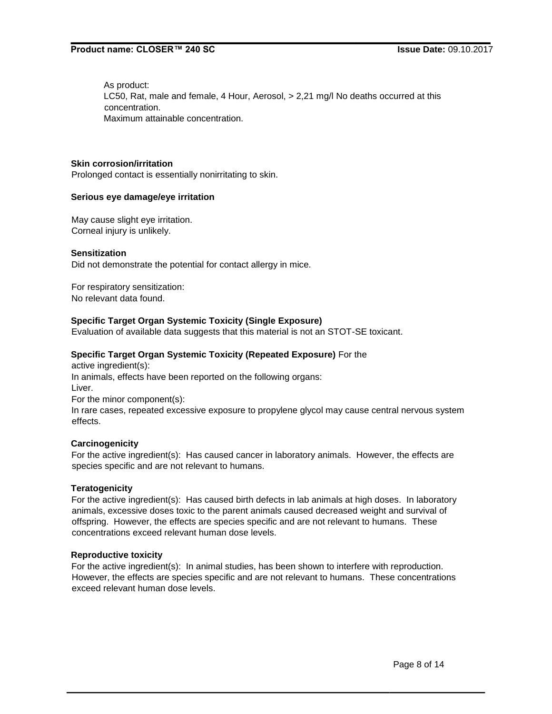As product: LC50, Rat, male and female, 4 Hour, Aerosol, > 2,21 mg/l No deaths occurred at this concentration. Maximum attainable concentration.

# **Skin corrosion/irritation**

Prolonged contact is essentially nonirritating to skin.

#### **Serious eye damage/eye irritation**

May cause slight eye irritation. Corneal injury is unlikely.

#### **Sensitization**

Did not demonstrate the potential for contact allergy in mice.

For respiratory sensitization: No relevant data found.

## **Specific Target Organ Systemic Toxicity (Single Exposure)**

Evaluation of available data suggests that this material is not an STOT-SE toxicant.

## **Specific Target Organ Systemic Toxicity (Repeated Exposure)** For the

active ingredient(s): In animals, effects have been reported on the following organs: Liver. For the minor component(s): In rare cases, repeated excessive exposure to propylene glycol may cause central nervous system effects.

## **Carcinogenicity**

For the active ingredient(s): Has caused cancer in laboratory animals. However, the effects are species specific and are not relevant to humans.

## **Teratogenicity**

For the active ingredient(s): Has caused birth defects in lab animals at high doses. In laboratory animals, excessive doses toxic to the parent animals caused decreased weight and survival of offspring. However, the effects are species specific and are not relevant to humans. These concentrations exceed relevant human dose levels.

## **Reproductive toxicity**

For the active ingredient(s): In animal studies, has been shown to interfere with reproduction. However, the effects are species specific and are not relevant to humans. These concentrations exceed relevant human dose levels.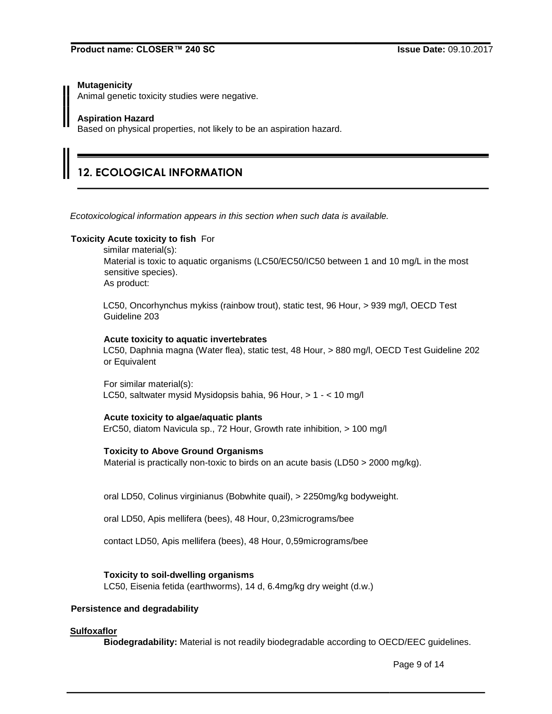## **Mutagenicity**

Animal genetic toxicity studies were negative.

## **Aspiration Hazard**

Based on physical properties, not likely to be an aspiration hazard.

# **12. ECOLOGICAL INFORMATION**

*Ecotoxicological information appears in this section when such data is available.*

## **Toxicity Acute toxicity to fish** For

similar material(s): Material is toxic to aquatic organisms (LC50/EC50/IC50 between 1 and 10 mg/L in the most sensitive species). As product:

LC50, Oncorhynchus mykiss (rainbow trout), static test, 96 Hour, > 939 mg/l, OECD Test Guideline 203

#### **Acute toxicity to aquatic invertebrates**

LC50, Daphnia magna (Water flea), static test, 48 Hour, > 880 mg/l, OECD Test Guideline 202 or Equivalent

For similar material(s): LC50, saltwater mysid Mysidopsis bahia, 96 Hour, > 1 - < 10 mg/l

## **Acute toxicity to algae/aquatic plants**

ErC50, diatom Navicula sp., 72 Hour, Growth rate inhibition, > 100 mg/l

## **Toxicity to Above Ground Organisms**

Material is practically non-toxic to birds on an acute basis (LD50 > 2000 mg/kg).

oral LD50, Colinus virginianus (Bobwhite quail), > 2250mg/kg bodyweight.

oral LD50, Apis mellifera (bees), 48 Hour, 0,23micrograms/bee

contact LD50, Apis mellifera (bees), 48 Hour, 0,59micrograms/bee

## **Toxicity to soil-dwelling organisms**

LC50, Eisenia fetida (earthworms), 14 d, 6.4mg/kg dry weight (d.w.)

## **Persistence and degradability**

## **Sulfoxaflor**

**Biodegradability:** Material is not readily biodegradable according to OECD/EEC guidelines.

Page 9 of 14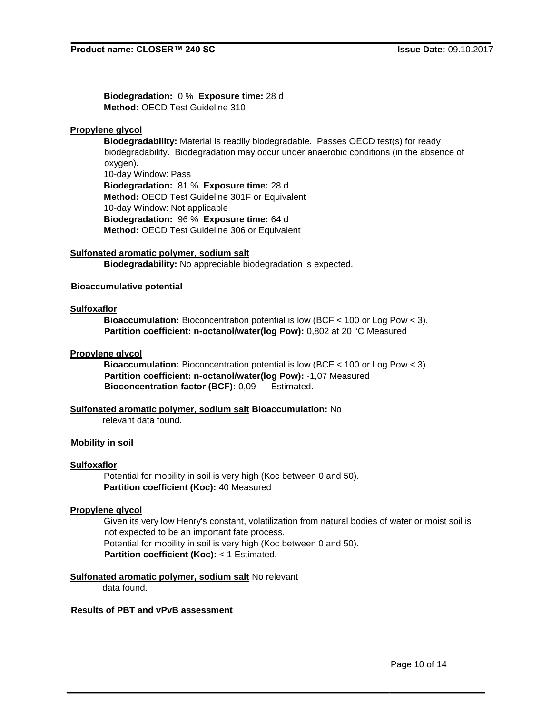**Biodegradation:** 0 % **Exposure time:** 28 d **Method:** OECD Test Guideline 310

## **Propylene glycol**

**Biodegradability:** Material is readily biodegradable. Passes OECD test(s) for ready biodegradability. Biodegradation may occur under anaerobic conditions (in the absence of oxygen). 10-day Window: Pass **Biodegradation:** 81 % **Exposure time:** 28 d **Method:** OECD Test Guideline 301F or Equivalent 10-day Window: Not applicable **Biodegradation:** 96 % **Exposure time:** 64 d **Method:** OECD Test Guideline 306 or Equivalent

**Sulfonated aromatic polymer, sodium salt Biodegradability:** No appreciable biodegradation is expected.

## **Bioaccumulative potential**

## **Sulfoxaflor**

**Bioaccumulation:** Bioconcentration potential is low (BCF < 100 or Log Pow < 3). **Partition coefficient: n-octanol/water(log Pow):** 0,802 at 20 °C Measured

## **Propylene glycol**

**Bioaccumulation:** Bioconcentration potential is low (BCF < 100 or Log Pow < 3). **Partition coefficient: n-octanol/water(log Pow):** -1,07 Measured **Bioconcentration factor (BCF):** 0,09 Estimated.

## **Sulfonated aromatic polymer, sodium salt Bioaccumulation:** No

relevant data found.

## **Mobility in soil**

## **Sulfoxaflor**

Potential for mobility in soil is very high (Koc between 0 and 50). **Partition coefficient (Koc):** 40 Measured

## **Propylene glycol**

Given its very low Henry's constant, volatilization from natural bodies of water or moist soil is not expected to be an important fate process. Potential for mobility in soil is very high (Koc between 0 and 50). **Partition coefficient (Koc):** < 1 Estimated.

## **Sulfonated aromatic polymer, sodium salt** No relevant

data found.

# **Results of PBT and vPvB assessment**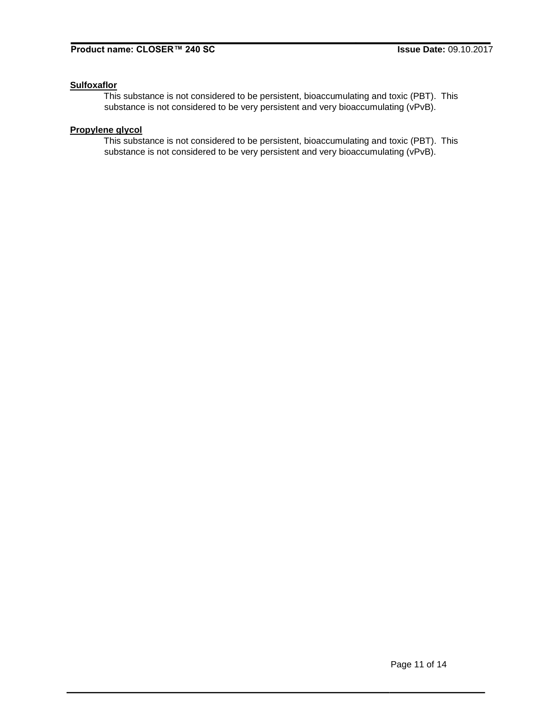# **Sulfoxaflor**

This substance is not considered to be persistent, bioaccumulating and toxic (PBT). This substance is not considered to be very persistent and very bioaccumulating (vPvB).

# **Propylene glycol**

This substance is not considered to be persistent, bioaccumulating and toxic (PBT). This substance is not considered to be very persistent and very bioaccumulating (vPvB).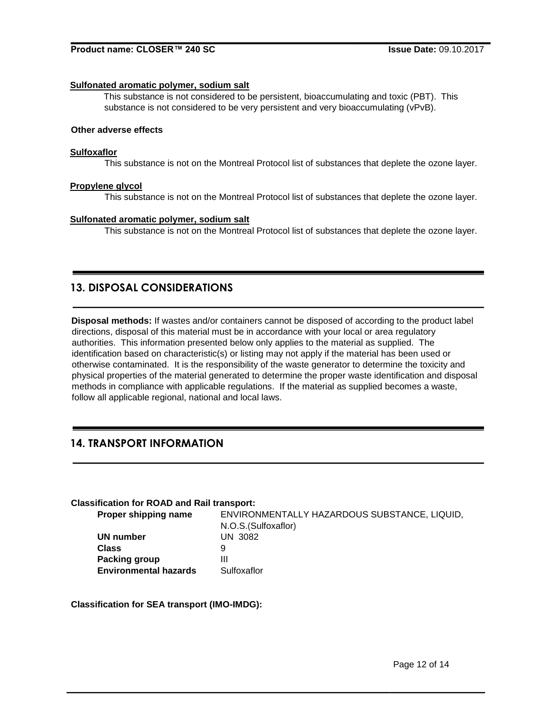#### **Sulfonated aromatic polymer, sodium salt**

This substance is not considered to be persistent, bioaccumulating and toxic (PBT). This substance is not considered to be very persistent and very bioaccumulating (vPvB).

# **Other adverse effects**

#### **Sulfoxaflor**

This substance is not on the Montreal Protocol list of substances that deplete the ozone layer.

#### **Propylene glycol**

This substance is not on the Montreal Protocol list of substances that deplete the ozone layer.

#### **Sulfonated aromatic polymer, sodium salt**

This substance is not on the Montreal Protocol list of substances that deplete the ozone layer.

# **13. DISPOSAL CONSIDERATIONS**

**Disposal methods:** If wastes and/or containers cannot be disposed of according to the product label directions, disposal of this material must be in accordance with your local or area regulatory authorities. This information presented below only applies to the material as supplied. The identification based on characteristic(s) or listing may not apply if the material has been used or otherwise contaminated. It is the responsibility of the waste generator to determine the toxicity and physical properties of the material generated to determine the proper waste identification and disposal methods in compliance with applicable regulations. If the material as supplied becomes a waste, follow all applicable regional, national and local laws.

# **14. TRANSPORT INFORMATION**

## **Classification for ROAD and Rail transport:**

| <b>Proper shipping name</b>  | ENVIRONMENTALLY HAZARDOUS SUBSTANCE, LIQUID, |
|------------------------------|----------------------------------------------|
|                              | N.O.S. (Sulfoxaflor)                         |
| UN number                    | <b>UN 3082</b>                               |
| Class                        | 9                                            |
| Packing group                | Ш                                            |
| <b>Environmental hazards</b> | Sulfoxaflor                                  |

**Classification for SEA transport (IMO-IMDG):**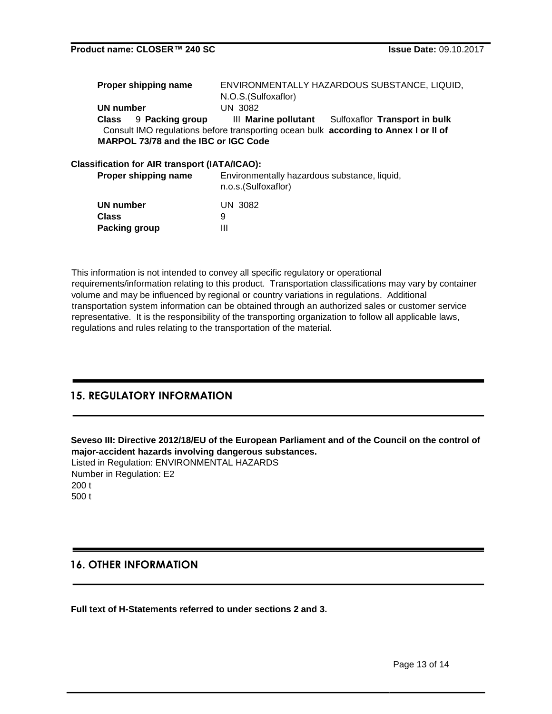| Proper shipping name |                                      | ENVIRONMENTALLY HAZARDOUS SUBSTANCE, LIQUID, |                                                                                      |  |
|----------------------|--------------------------------------|----------------------------------------------|--------------------------------------------------------------------------------------|--|
|                      |                                      | N.O.S. (Sulfoxaflor)                         |                                                                                      |  |
| UN number            |                                      | UN 3082                                      |                                                                                      |  |
|                      | Class 9 Packing group                |                                              | III Marine pollutant Sulfoxaflor Transport in bulk                                   |  |
|                      |                                      |                                              | Consult IMO regulations before transporting ocean bulk according to Annex I or II of |  |
|                      | MARPOL 73/78 and the IBC or IGC Code |                                              |                                                                                      |  |
|                      |                                      |                                              |                                                                                      |  |

## **Classification for AIR transport (IATA/ICAO):**

**Proper shipping name** Environmentally hazardous substance, liquid, n.o.s.(Sulfoxaflor)

| UN number            | UN 3082 |
|----------------------|---------|
| Class                | 9       |
| <b>Packing group</b> | Ш       |

This information is not intended to convey all specific regulatory or operational requirements/information relating to this product. Transportation classifications may vary by container volume and may be influenced by regional or country variations in regulations. Additional transportation system information can be obtained through an authorized sales or customer service representative. It is the responsibility of the transporting organization to follow all applicable laws, regulations and rules relating to the transportation of the material.

# **15. REGULATORY INFORMATION**

**Seveso III: Directive 2012/18/EU of the European Parliament and of the Council on the control of major-accident hazards involving dangerous substances.** Listed in Regulation: ENVIRONMENTAL HAZARDS Number in Regulation: E2 200 t 500 t

# **16. OTHER INFORMATION**

**Full text of H-Statements referred to under sections 2 and 3.**